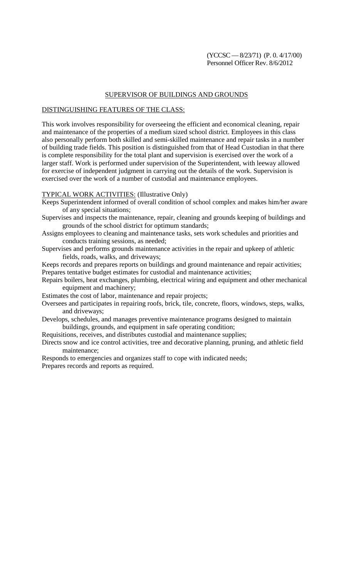## SUPERVISOR OF BUILDINGS AND GROUNDS

## DISTINGUISHING FEATURES OF THE CLASS:

This work involves responsibility for overseeing the efficient and economical cleaning, repair and maintenance of the properties of a medium sized school district. Employees in this class also personally perform both skilled and semi-skilled maintenance and repair tasks in a number of building trade fields. This position is distinguished from that of Head Custodian in that there is complete responsibility for the total plant and supervision is exercised over the work of a larger staff. Work is performed under supervision of the Superintendent, with leeway allowed for exercise of independent judgment in carrying out the details of the work. Supervision is exercised over the work of a number of custodial and maintenance employees.

## TYPICAL WORK ACTIVITIES: (Illustrative Only)

Keeps Superintendent informed of overall condition of school complex and makes him/her aware of any special situations;

- Supervises and inspects the maintenance, repair, cleaning and grounds keeping of buildings and grounds of the school district for optimum standards;
- Assigns employees to cleaning and maintenance tasks, sets work schedules and priorities and conducts training sessions, as needed;
- Supervises and performs grounds maintenance activities in the repair and upkeep of athletic fields, roads, walks, and driveways;

Keeps records and prepares reports on buildings and ground maintenance and repair activities; Prepares tentative budget estimates for custodial and maintenance activities;

Repairs boilers, heat exchanges, plumbing, electrical wiring and equipment and other mechanical equipment and machinery;

Estimates the cost of labor, maintenance and repair projects;

- Oversees and participates in repairing roofs, brick, tile, concrete, floors, windows, steps, walks, and driveways;
- Develops, schedules, and manages preventive maintenance programs designed to maintain buildings, grounds, and equipment in safe operating condition;
- Requisitions, receives, and distributes custodial and maintenance supplies;
- Directs snow and ice control activities, tree and decorative planning, pruning, and athletic field maintenance;
- Responds to emergencies and organizes staff to cope with indicated needs; Prepares records and reports as required.